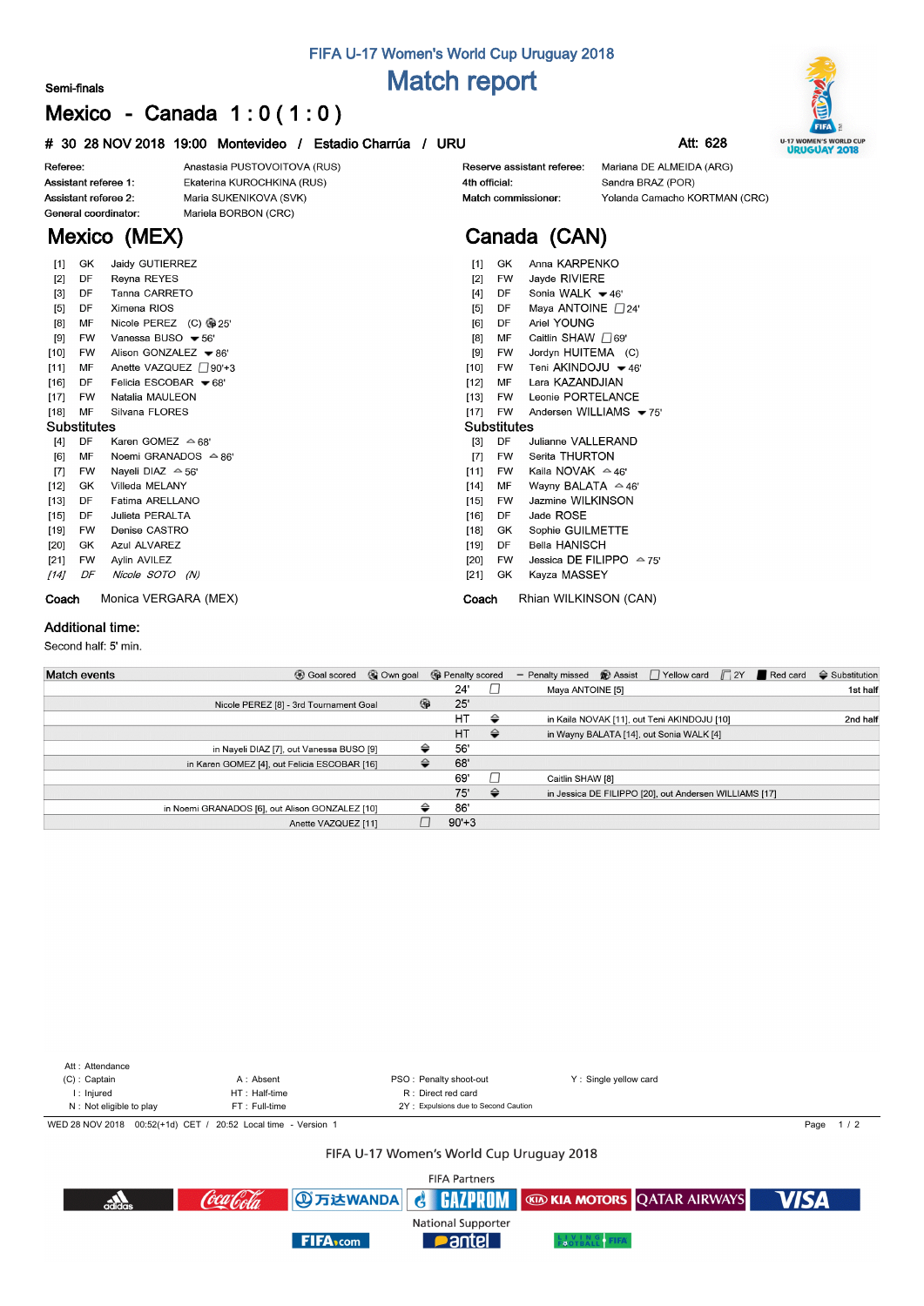# **FIFA U-17 Women's World Cup Uruguay 2018 Match report**

#### **Semi-finals**

# **Mexico - Canada 1 : 0 ( 1 : 0 )**

### **# 30 28 NOV 2018 19:00 Montevideo / Estadio Charrúa / URU Att: 628**

Referee: Assistant referee 1:

 $[11]$ 

 $[13]$ 

 $[15]$ 

 $[20]$ 

 $[14]$ 

Assistant referee 2: General coordinator:

**Mexico (MEX)**

Anastasia PUSTOVOITOVA (RUS) Ekaterina KUROCHKINA (RUS) Maria SUKENIKOVA (SVK) Mariela BORBON (CRC)

#### Reserve assistant referee: 4th official: Match commissioner:

Mariana DE ALMEIDA (ARG) Sandra BRAZ (POR) Yolanda Camacho KORTMAN (CRC)

# **Canada (CAN)**

| [1]               | GK        | Jaidy GUTIERREZ                | Anna KARPENKO<br>[1]<br>GK                              |  |  |  |  |  |  |  |
|-------------------|-----------|--------------------------------|---------------------------------------------------------|--|--|--|--|--|--|--|
| $\lceil 2 \rceil$ | DF        | Reyna REYES                    | Jayde RIVIERE<br>[2]<br><b>FW</b>                       |  |  |  |  |  |  |  |
|                   | DF        | Tanna CARRETO                  | Sonia WALK $\blacktriangleright$ 46'<br>[4]<br>DF       |  |  |  |  |  |  |  |
| $[3]$             |           |                                |                                                         |  |  |  |  |  |  |  |
| [5]               | DF        | Ximena RIOS                    | Maya ANTOINE $\Box$ 24'<br>[5]<br>DF                    |  |  |  |  |  |  |  |
| [8]               | МF        | Nicole PEREZ (C) @ 25'         | Ariel YOUNG<br>DF<br>[6]                                |  |  |  |  |  |  |  |
| [9]               | <b>FW</b> | Vanessa BUSO ₩ 56'             | Caitlin SHAW □69<br>[8]<br>MF                           |  |  |  |  |  |  |  |
| [10]              | <b>FW</b> | Alison GONZALEZ - 86'          | Jordyn HUITEMA (C)<br>[9]<br>FW                         |  |  |  |  |  |  |  |
| [11]              | MF        | Anette VAZQUEZ 790'+3          | Teni AKINDOJU ₩46'<br>$[10]$<br><b>FW</b>               |  |  |  |  |  |  |  |
| $[16]$            | DF        | Felicia ESCOBAR = 68'          | Lara KAZANDJIAN<br>$[12]$<br>MF                         |  |  |  |  |  |  |  |
| $[17]$            | <b>FW</b> | Natalia MAULEON                | Leonie PORTELANCE<br>[13]<br><b>FW</b>                  |  |  |  |  |  |  |  |
| $[18]$            | MF        | Silvana FLORES                 | Andersen WILLIAMS $-75$<br>[17]<br><b>FW</b>            |  |  |  |  |  |  |  |
| Substitutes       |           |                                | <b>Substitutes</b>                                      |  |  |  |  |  |  |  |
| [4]               | DF        | Karen GOMEZ 수 68'              | DF<br>Julianne VALLERAND<br>[3]                         |  |  |  |  |  |  |  |
| [6]               | MF        | Noemi GRANADOS $\triangle$ 86' | Serita THURTON<br>[7]<br><b>FW</b>                      |  |  |  |  |  |  |  |
| $[7]$             | <b>FW</b> | Naveli DIAZ $\triangle$ 56'    | Kaila NOVAK $\approx$ 46'<br>[11]<br><b>FW</b>          |  |  |  |  |  |  |  |
| $[12]$            | GK        | Villeda MELANY                 | $[14]$<br>Wayny BALATA $\approx$ 46'<br>МF              |  |  |  |  |  |  |  |
| $[13]$            | DF        | Fatima ARELLANO                | <b>Jazmine WILKINSON</b><br>[15]<br><b>FW</b>           |  |  |  |  |  |  |  |
| $[15]$            | DF        | Julieta PERALTA                | Jade ROSE<br>$[16]$<br>DF                               |  |  |  |  |  |  |  |
| [19]              | FW        | Denise CASTRO                  | Sophie GUILMETTE<br>$[18]$<br>GK                        |  |  |  |  |  |  |  |
| $[20]$            | GK        | Azul ALVAREZ                   | <b>Bella HANISCH</b><br>[19]<br>DF                      |  |  |  |  |  |  |  |
| $[21]$            | <b>FW</b> | Aylin AVILEZ                   | Jessica DE FILIPPO $\triangle$ 75'<br>[20]<br><b>FW</b> |  |  |  |  |  |  |  |
| $[14]$            | DF        | Nicole SOTO (N)                | [21]<br><b>GK</b><br>Kayza MASSEY                       |  |  |  |  |  |  |  |
| Coach             |           | Monica VERGARA (MEX)           | Rhian WILKINSON (CAN)<br>Coach                          |  |  |  |  |  |  |  |

### **Additional time:**

**Coach** 

Second half: 5' min.

| <b>Match events</b><br><b>B</b> Goal scored     | © Own goal |   | <b>G</b> Penalty scored |               | <b> Assist</b> PYellow card F2Y Red card<br>- Penalty missed | $\triangleq$ Substitution |
|-------------------------------------------------|------------|---|-------------------------|---------------|--------------------------------------------------------------|---------------------------|
|                                                 |            |   | 24'                     |               | Maya ANTOINE [5]                                             | 1st half                  |
| Nicole PEREZ [8] - 3rd Tournament Goal          |            | ⊕ | 25'                     |               |                                                              |                           |
|                                                 |            |   | <b>HT</b>               | ⇔             | in Kaila NOVAK [11], out Teni AKINDOJU [10]                  | 2nd half                  |
|                                                 |            |   | <b>HT</b>               | ⇔             | in Wayny BALATA [14], out Sonia WALK [4]                     |                           |
| in Nayeli DIAZ [7], out Vanessa BUSO [9]        |            | ⇔ | 56'                     |               |                                                              |                           |
| in Karen GOMEZ [4], out Felicia ESCOBAR [16]    |            | ≙ | 68'                     |               |                                                              |                           |
|                                                 |            |   | 69'                     |               | Caitlin SHAW [8]                                             |                           |
|                                                 |            |   | 75'                     | $\Rightarrow$ | in Jessica DE FILIPPO [20], out Andersen WILLIAMS [17]       |                           |
| in Noemi GRANADOS [6], out Alison GONZALEZ [10] |            | ≙ | 86'                     |               |                                                              |                           |
| Anette VAZQUEZ [11]                             |            |   | $90'+3$                 |               |                                                              |                           |



#### FIFA U-17 Women's World Cup Uruguay 2018